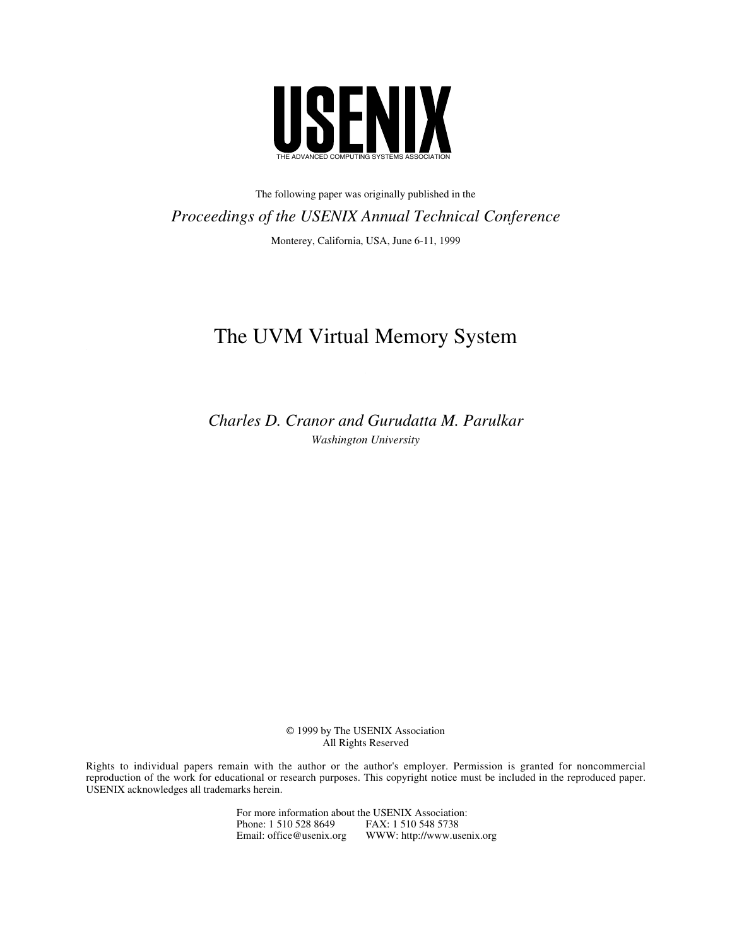

The following paper was originally published in the *Proceedings of the USENIX Annual Technical Conference* Monterey, California, USA, June 6-11, 1999

# The UVM Virtual Memory System

*Charles D. Cranor and Gurudatta M. Parulkar Washington University*

> © 1999 by The USENIX Association All Rights Reserved

Rights to individual papers remain with the author or the author's employer. Permission is granted for noncommercial reproduction of the work for educational or research purposes. This copyright notice must be included in the reproduced paper. USENIX acknowledges all trademarks herein.

> For more information about the USENIX Association: Phone: 1 510 528 8649 FAX: 1 510 548 5738 Email: office@usenix.org WWW: http://www.usenix.org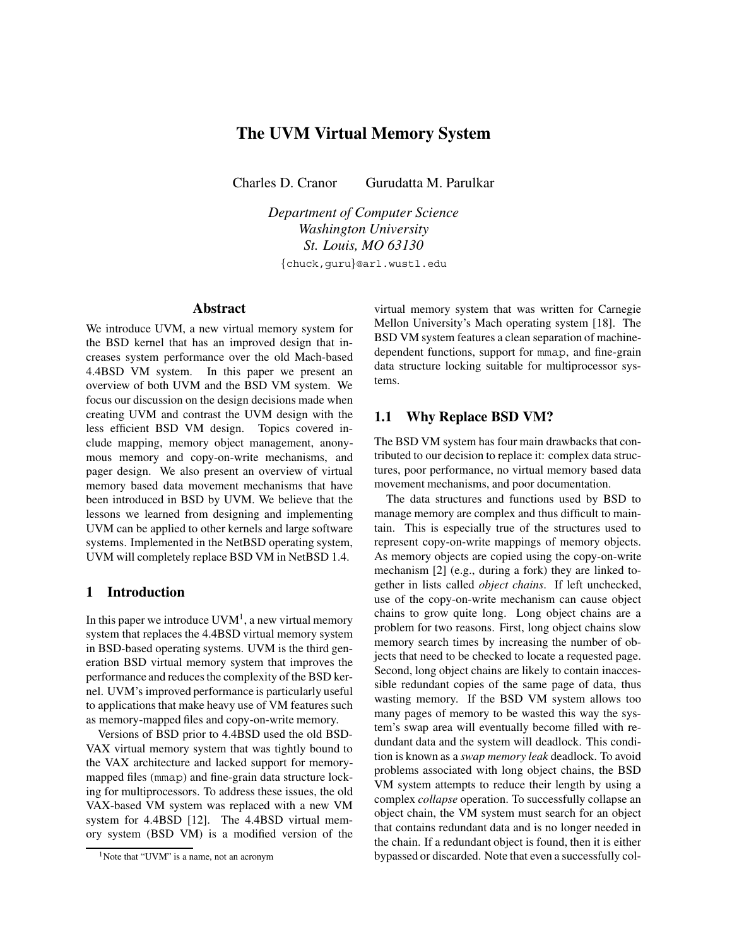## **The UVM Virtual Memory System**

Charles D. Cranor Gurudatta M. Parulkar

*Department of Computer Science Washington University St. Louis, MO 63130*

{chuck,guru}@arl.wustl.edu

### **Abstract**

We introduce UVM, a new virtual memory system for the BSD kernel that has an improved design that increases system performance over the old Mach-based 4.4BSD VM system. In this paper we present an overview of both UVM and the BSD VM system. We focus our discussion on the design decisions made when creating UVM and contrast the UVM design with the less efficient BSD VM design. Topics covered include mapping, memory object management, anonymous memory and copy-on-write mechanisms, and pager design. We also present an overview of virtual memory based data movement mechanisms that have been introduced in BSD by UVM. We believe that the lessons we learned from designing and implementing UVM can be applied to other kernels and large software systems. Implemented in the NetBSD operating system, UVM will completely replace BSD VM in NetBSD 1.4.

#### **1 Introduction**

In this paper we introduce  $UVM<sup>1</sup>$ , a new virtual memory system that replaces the 4.4BSD virtual memory system in BSD-based operating systems. UVM is the third generation BSD virtual memory system that improves the performance and reduces the complexity of the BSD kernel. UVM's improved performance is particularly useful to applications that make heavy use of VM features such as memory-mapped files and copy-on-write memory.

Versions of BSD prior to 4.4BSD used the old BSD-VAX virtual memory system that was tightly bound to the VAX architecture and lacked support for memorymapped files (mmap) and fine-grain data structure locking for multiprocessors. To address these issues, the old VAX-based VM system was replaced with a new VM system for 4.4BSD [12]. The 4.4BSD virtual memory system (BSD VM) is a modified version of the

virtual memory system that was written for Carnegie Mellon University's Mach operating system [18]. The BSD VM system features a clean separation of machinedependent functions, support for mmap, and fine-grain data structure locking suitable for multiprocessor systems.

## **1.1 Why Replace BSD VM?**

The BSD VM system has four main drawbacks that contributed to our decision to replace it: complex data structures, poor performance, no virtual memory based data movement mechanisms, and poor documentation.

The data structures and functions used by BSD to manage memory are complex and thus difficult to maintain. This is especially true of the structures used to represent copy-on-write mappings of memory objects. As memory objects are copied using the copy-on-write mechanism [2] (e.g., during a fork) they are linked together in lists called *object chains*. If left unchecked, use of the copy-on-write mechanism can cause object chains to grow quite long. Long object chains are a problem for two reasons. First, long object chains slow memory search times by increasing the number of objects that need to be checked to locate a requested page. Second, long object chains are likely to contain inaccessible redundant copies of the same page of data, thus wasting memory. If the BSD VM system allows too many pages of memory to be wasted this way the system's swap area will eventually become filled with redundant data and the system will deadlock. This condition is known as a *swap memory leak* deadlock. To avoid problems associated with long object chains, the BSD VM system attempts to reduce their length by using a complex *collapse* operation. To successfully collapse an object chain, the VM system must search for an object that contains redundant data and is no longer needed in the chain. If a redundant object is found, then it is either bypassed or discarded. Note that even a successfully col-

<sup>&</sup>lt;sup>1</sup>Note that "UVM" is a name, not an acronym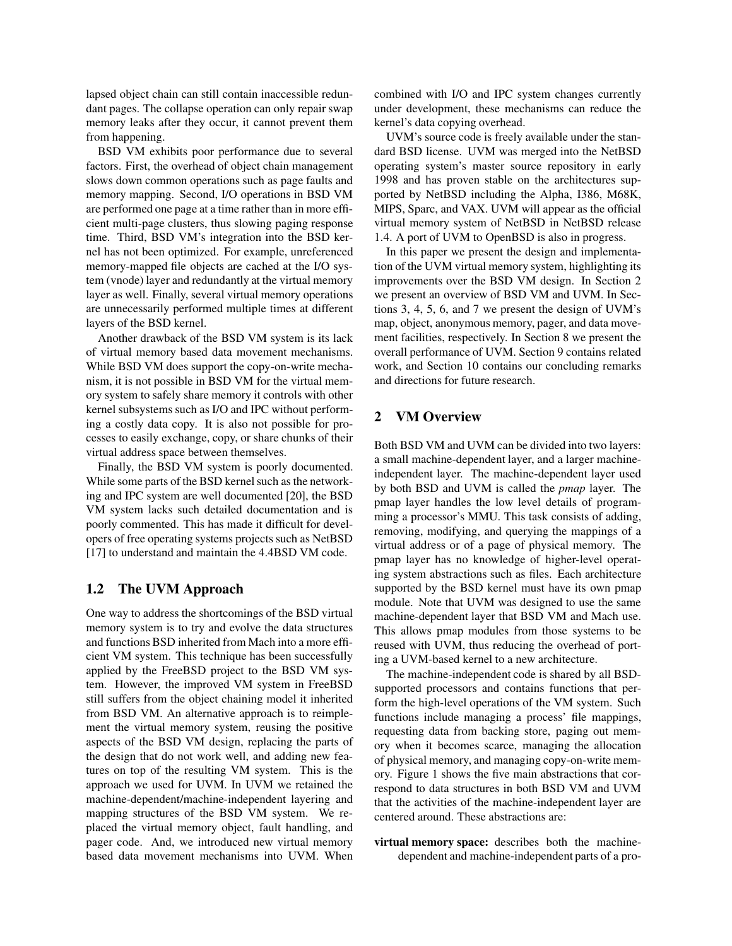lapsed object chain can still contain inaccessible redundant pages. The collapse operation can only repair swap memory leaks after they occur, it cannot prevent them from happening.

BSD VM exhibits poor performance due to several factors. First, the overhead of object chain management slows down common operations such as page faults and memory mapping. Second, I/O operations in BSD VM are performed one page at a time rather than in more efficient multi-page clusters, thus slowing paging response time. Third, BSD VM's integration into the BSD kernel has not been optimized. For example, unreferenced memory-mapped file objects are cached at the I/O system (vnode) layer and redundantly at the virtual memory layer as well. Finally, several virtual memory operations are unnecessarily performed multiple times at different layers of the BSD kernel.

Another drawback of the BSD VM system is its lack of virtual memory based data movement mechanisms. While BSD VM does support the copy-on-write mechanism, it is not possible in BSD VM for the virtual memory system to safely share memory it controls with other kernel subsystems such as I/O and IPC without performing a costly data copy. It is also not possible for processes to easily exchange, copy, or share chunks of their virtual address space between themselves.

Finally, the BSD VM system is poorly documented. While some parts of the BSD kernel such as the networking and IPC system are well documented [20], the BSD VM system lacks such detailed documentation and is poorly commented. This has made it difficult for developers of free operating systems projects such as NetBSD [17] to understand and maintain the 4.4BSD VM code.

#### **1.2 The UVM Approach**

One way to address the shortcomings of the BSD virtual memory system is to try and evolve the data structures and functions BSD inherited from Mach into a more efficient VM system. This technique has been successfully applied by the FreeBSD project to the BSD VM system. However, the improved VM system in FreeBSD still suffers from the object chaining model it inherited from BSD VM. An alternative approach is to reimplement the virtual memory system, reusing the positive aspects of the BSD VM design, replacing the parts of the design that do not work well, and adding new features on top of the resulting VM system. This is the approach we used for UVM. In UVM we retained the machine-dependent/machine-independent layering and mapping structures of the BSD VM system. We replaced the virtual memory object, fault handling, and pager code. And, we introduced new virtual memory based data movement mechanisms into UVM. When combined with I/O and IPC system changes currently under development, these mechanisms can reduce the kernel's data copying overhead.

UVM's source code is freely available under the standard BSD license. UVM was merged into the NetBSD operating system's master source repository in early 1998 and has proven stable on the architectures supported by NetBSD including the Alpha, I386, M68K, MIPS, Sparc, and VAX. UVM will appear as the official virtual memory system of NetBSD in NetBSD release 1.4. A port of UVM to OpenBSD is also in progress.

In this paper we present the design and implementation of the UVM virtual memory system, highlighting its improvements over the BSD VM design. In Section 2 we present an overview of BSD VM and UVM. In Sections 3, 4, 5, 6, and 7 we present the design of UVM's map, object, anonymous memory, pager, and data movement facilities, respectively. In Section 8 we present the overall performance of UVM. Section 9 contains related work, and Section 10 contains our concluding remarks and directions for future research.

## **2 VM Overview**

Both BSD VM and UVM can be divided into two layers: a small machine-dependent layer, and a larger machineindependent layer. The machine-dependent layer used by both BSD and UVM is called the *pmap* layer. The pmap layer handles the low level details of programming a processor's MMU. This task consists of adding, removing, modifying, and querying the mappings of a virtual address or of a page of physical memory. The pmap layer has no knowledge of higher-level operating system abstractions such as files. Each architecture supported by the BSD kernel must have its own pmap module. Note that UVM was designed to use the same machine-dependent layer that BSD VM and Mach use. This allows pmap modules from those systems to be reused with UVM, thus reducing the overhead of porting a UVM-based kernel to a new architecture.

The machine-independent code is shared by all BSDsupported processors and contains functions that perform the high-level operations of the VM system. Such functions include managing a process' file mappings, requesting data from backing store, paging out memory when it becomes scarce, managing the allocation of physical memory, and managing copy-on-write memory. Figure 1 shows the five main abstractions that correspond to data structures in both BSD VM and UVM that the activities of the machine-independent layer are centered around. These abstractions are:

**virtual memory space:** describes both the machinedependent and machine-independent parts of a pro-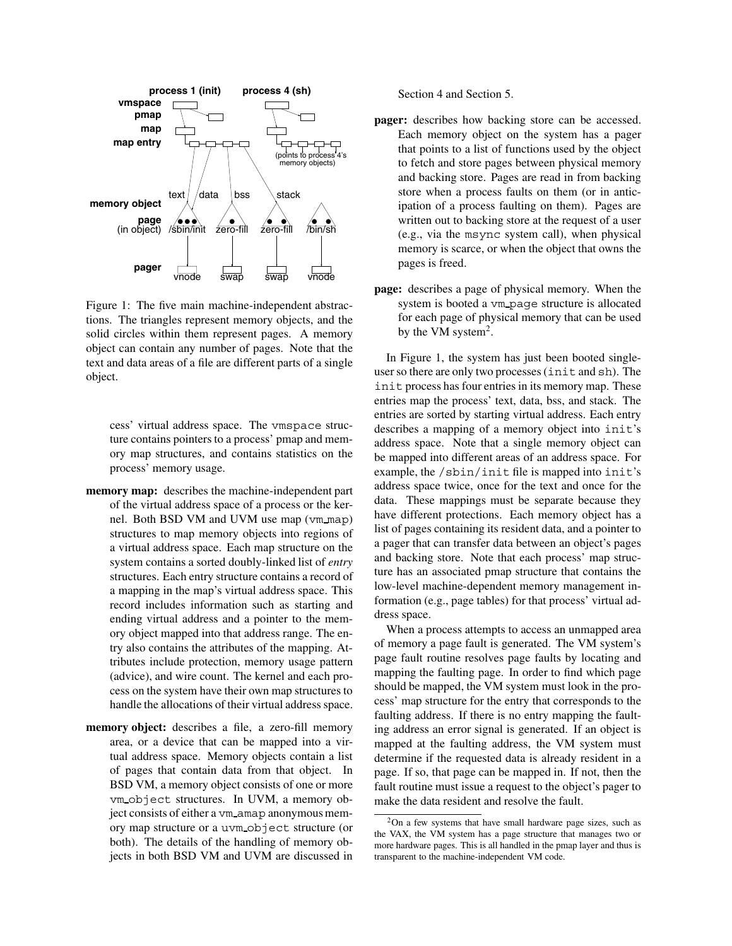

Figure 1: The five main machine-independent abstractions. The triangles represent memory objects, and the solid circles within them represent pages. A memory object can contain any number of pages. Note that the text and data areas of a file are different parts of a single object.

cess' virtual address space. The vmspace structure contains pointers to a process' pmap and memory map structures, and contains statistics on the process' memory usage.

- **memory map:** describes the machine-independent part of the virtual address space of a process or the kernel. Both BSD VM and UVM use map (vm\_map) structures to map memory objects into regions of a virtual address space. Each map structure on the system contains a sorted doubly-linked list of *entry* structures. Each entry structure contains a record of a mapping in the map's virtual address space. This record includes information such as starting and ending virtual address and a pointer to the memory object mapped into that address range. The entry also contains the attributes of the mapping. Attributes include protection, memory usage pattern (advice), and wire count. The kernel and each process on the system have their own map structures to handle the allocations of their virtual address space.
- **memory object:** describes a file, a zero-fill memory area, or a device that can be mapped into a virtual address space. Memory objects contain a list of pages that contain data from that object. In BSD VM, a memory object consists of one or more vm object structures. In UVM, a memory object consists of either a vm amap anonymous memory map structure or a uvm object structure (or both). The details of the handling of memory objects in both BSD VM and UVM are discussed in

Section 4 and Section 5.

- **pager:** describes how backing store can be accessed. Each memory object on the system has a pager that points to a list of functions used by the object to fetch and store pages between physical memory and backing store. Pages are read in from backing store when a process faults on them (or in anticipation of a process faulting on them). Pages are written out to backing store at the request of a user (e.g., via the msync system call), when physical memory is scarce, or when the object that owns the pages is freed.
- **page:** describes a page of physical memory. When the system is booted a vm page structure is allocated for each page of physical memory that can be used by the VM system<sup>2</sup>.

In Figure 1, the system has just been booted singleuser so there are only two processes (init and sh). The init process has four entries in its memory map. These entries map the process' text, data, bss, and stack. The entries are sorted by starting virtual address. Each entry describes a mapping of a memory object into init's address space. Note that a single memory object can be mapped into different areas of an address space. For example, the /sbin/init file is mapped into init's address space twice, once for the text and once for the data. These mappings must be separate because they have different protections. Each memory object has a list of pages containing its resident data, and a pointer to a pager that can transfer data between an object's pages and backing store. Note that each process' map structure has an associated pmap structure that contains the low-level machine-dependent memory management information (e.g., page tables) for that process' virtual address space.

When a process attempts to access an unmapped area of memory a page fault is generated. The VM system's page fault routine resolves page faults by locating and mapping the faulting page. In order to find which page should be mapped, the VM system must look in the process' map structure for the entry that corresponds to the faulting address. If there is no entry mapping the faulting address an error signal is generated. If an object is mapped at the faulting address, the VM system must determine if the requested data is already resident in a page. If so, that page can be mapped in. If not, then the fault routine must issue a request to the object's pager to make the data resident and resolve the fault.

<sup>2</sup>On a few systems that have small hardware page sizes, such as the VAX, the VM system has a page structure that manages two or more hardware pages. This is all handled in the pmap layer and thus is transparent to the machine-independent VM code.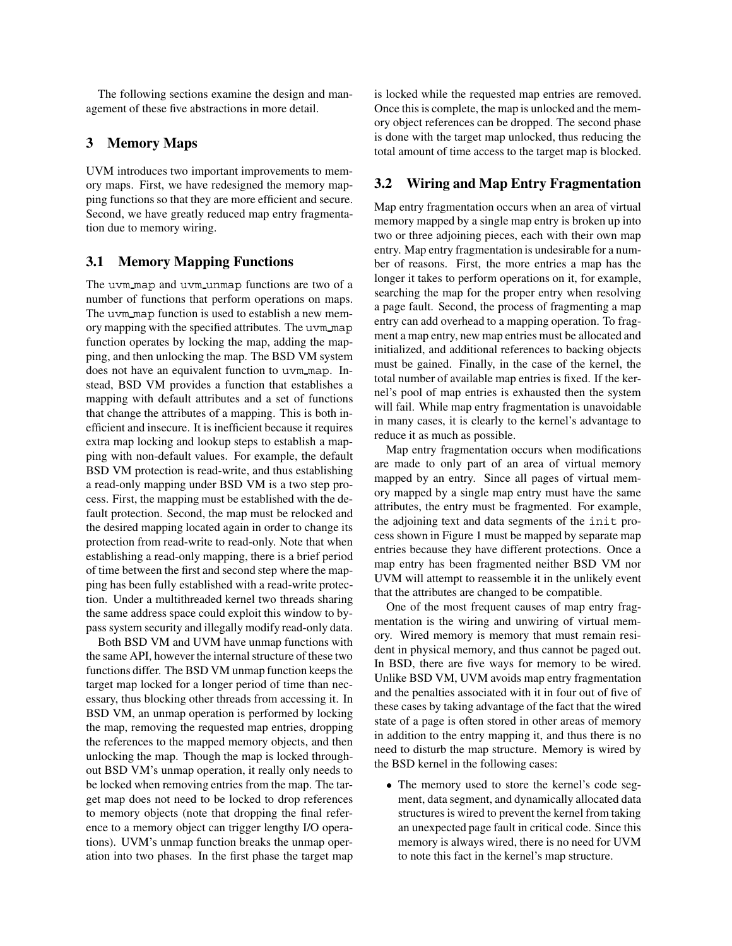The following sections examine the design and management of these five abstractions in more detail.

## **3 Memory Maps**

UVM introduces two important improvements to memory maps. First, we have redesigned the memory mapping functions so that they are more efficient and secure. Second, we have greatly reduced map entry fragmentation due to memory wiring.

## **3.1 Memory Mapping Functions**

The uvm\_map and uvm\_unmap functions are two of a number of functions that perform operations on maps. The uvm map function is used to establish a new memory mapping with the specified attributes. The uvm map function operates by locking the map, adding the mapping, and then unlocking the map. The BSD VM system does not have an equivalent function to uvm map. Instead, BSD VM provides a function that establishes a mapping with default attributes and a set of functions that change the attributes of a mapping. This is both inefficient and insecure. It is inefficient because it requires extra map locking and lookup steps to establish a mapping with non-default values. For example, the default BSD VM protection is read-write, and thus establishing a read-only mapping under BSD VM is a two step process. First, the mapping must be established with the default protection. Second, the map must be relocked and the desired mapping located again in order to change its protection from read-write to read-only. Note that when establishing a read-only mapping, there is a brief period of time between the first and second step where the mapping has been fully established with a read-write protection. Under a multithreaded kernel two threads sharing the same address space could exploit this window to bypass system security and illegally modify read-only data.

Both BSD VM and UVM have unmap functions with the same API, however the internal structure of these two functions differ. The BSD VM unmap function keeps the target map locked for a longer period of time than necessary, thus blocking other threads from accessing it. In BSD VM, an unmap operation is performed by locking the map, removing the requested map entries, dropping the references to the mapped memory objects, and then unlocking the map. Though the map is locked throughout BSD VM's unmap operation, it really only needs to be locked when removing entries from the map. The target map does not need to be locked to drop references to memory objects (note that dropping the final reference to a memory object can trigger lengthy I/O operations). UVM's unmap function breaks the unmap operation into two phases. In the first phase the target map is locked while the requested map entries are removed. Once this is complete, the map is unlocked and the memory object references can be dropped. The second phase is done with the target map unlocked, thus reducing the total amount of time access to the target map is blocked.

## **3.2 Wiring and Map Entry Fragmentation**

Map entry fragmentation occurs when an area of virtual memory mapped by a single map entry is broken up into two or three adjoining pieces, each with their own map entry. Map entry fragmentation is undesirable for a number of reasons. First, the more entries a map has the longer it takes to perform operations on it, for example, searching the map for the proper entry when resolving a page fault. Second, the process of fragmenting a map entry can add overhead to a mapping operation. To fragment a map entry, new map entries must be allocated and initialized, and additional references to backing objects must be gained. Finally, in the case of the kernel, the total number of available map entries is fixed. If the kernel's pool of map entries is exhausted then the system will fail. While map entry fragmentation is unavoidable in many cases, it is clearly to the kernel's advantage to reduce it as much as possible.

Map entry fragmentation occurs when modifications are made to only part of an area of virtual memory mapped by an entry. Since all pages of virtual memory mapped by a single map entry must have the same attributes, the entry must be fragmented. For example, the adjoining text and data segments of the init process shown in Figure 1 must be mapped by separate map entries because they have different protections. Once a map entry has been fragmented neither BSD VM nor UVM will attempt to reassemble it in the unlikely event that the attributes are changed to be compatible.

One of the most frequent causes of map entry fragmentation is the wiring and unwiring of virtual memory. Wired memory is memory that must remain resident in physical memory, and thus cannot be paged out. In BSD, there are five ways for memory to be wired. Unlike BSD VM, UVM avoids map entry fragmentation and the penalties associated with it in four out of five of these cases by taking advantage of the fact that the wired state of a page is often stored in other areas of memory in addition to the entry mapping it, and thus there is no need to disturb the map structure. Memory is wired by the BSD kernel in the following cases:

 The memory used to store the kernel's code segment, data segment, and dynamically allocated data structures is wired to prevent the kernel from taking an unexpected page fault in critical code. Since this memory is always wired, there is no need for UVM to note this fact in the kernel's map structure.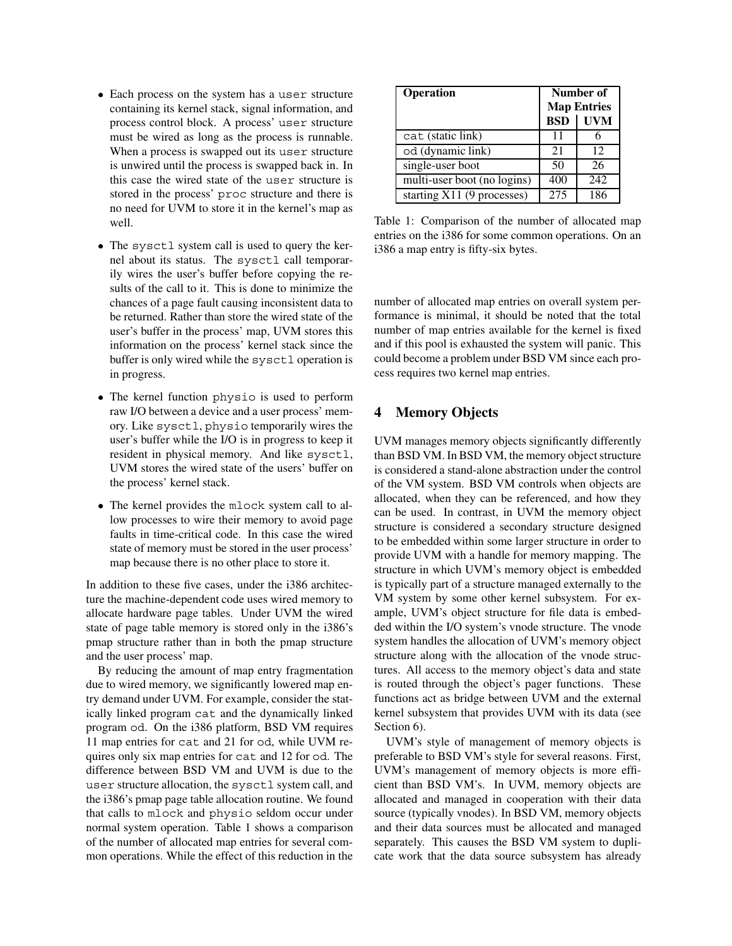- Each process on the system has a user structure containing its kernel stack, signal information, and process control block. A process' user structure must be wired as long as the process is runnable. When a process is swapped out its user structure is unwired until the process is swapped back in. In this case the wired state of the user structure is stored in the process' proc structure and there is no need for UVM to store it in the kernel's map as well.
- The sysctl system call is used to query the kernel about its status. The sysctl call temporarily wires the user's buffer before copying the results of the call to it. This is done to minimize the chances of a page fault causing inconsistent data to be returned. Rather than store the wired state of the user's buffer in the process' map, UVM stores this information on the process' kernel stack since the buffer is only wired while the sysctl operation is in progress.
- The kernel function physio is used to perform raw I/O between a device and a user process' memory. Like sysctl, physio temporarily wires the user's buffer while the I/O is in progress to keep it resident in physical memory. And like sysctl, UVM stores the wired state of the users' buffer on the process' kernel stack.
- The kernel provides the mlock system call to allow processes to wire their memory to avoid page faults in time-critical code. In this case the wired state of memory must be stored in the user process' map because there is no other place to store it.

In addition to these five cases, under the i386 architecture the machine-dependent code uses wired memory to allocate hardware page tables. Under UVM the wired state of page table memory is stored only in the i386's pmap structure rather than in both the pmap structure and the user process' map.

By reducing the amount of map entry fragmentation due to wired memory, we significantly lowered map entry demand under UVM. For example, consider the statically linked program cat and the dynamically linked program od. On the i386 platform, BSD VM requires 11 map entries for cat and 21 for od, while UVM requires only six map entries for cat and 12 for od. The difference between BSD VM and UVM is due to the user structure allocation, the sysctl system call, and the i386's pmap page table allocation routine. We found that calls to mlock and physio seldom occur under normal system operation. Table 1 shows a comparison of the number of allocated map entries for several common operations. While the effect of this reduction in the

| <b>Operation</b>            | Number of<br><b>Map Entries</b> |            |
|-----------------------------|---------------------------------|------------|
|                             | <b>BSD</b>                      | <b>UVM</b> |
| cat (static link)           | 11                              |            |
| od (dynamic link)           | 21                              | 12         |
| single-user boot            | 50                              | 26         |
| multi-user boot (no logins) | 400                             | 242        |
| starting X11 (9 processes)  | 275                             | 186        |

Table 1: Comparison of the number of allocated map entries on the i386 for some common operations. On an i386 a map entry is fifty-six bytes.

number of allocated map entries on overall system performance is minimal, it should be noted that the total number of map entries available for the kernel is fixed and if this pool is exhausted the system will panic. This could become a problem under BSD VM since each process requires two kernel map entries.

## **4 Memory Objects**

UVM manages memory objects significantly differently than BSD VM. In BSD VM, the memory object structure is considered a stand-alone abstraction under the control of the VM system. BSD VM controls when objects are allocated, when they can be referenced, and how they can be used. In contrast, in UVM the memory object structure is considered a secondary structure designed to be embedded within some larger structure in order to provide UVM with a handle for memory mapping. The structure in which UVM's memory object is embedded is typically part of a structure managed externally to the VM system by some other kernel subsystem. For example, UVM's object structure for file data is embedded within the I/O system's vnode structure. The vnode system handles the allocation of UVM's memory object structure along with the allocation of the vnode structures. All access to the memory object's data and state is routed through the object's pager functions. These functions act as bridge between UVM and the external kernel subsystem that provides UVM with its data (see Section 6).

UVM's style of management of memory objects is preferable to BSD VM's style for several reasons. First, UVM's management of memory objects is more efficient than BSD VM's. In UVM, memory objects are allocated and managed in cooperation with their data source (typically vnodes). In BSD VM, memory objects and their data sources must be allocated and managed separately. This causes the BSD VM system to duplicate work that the data source subsystem has already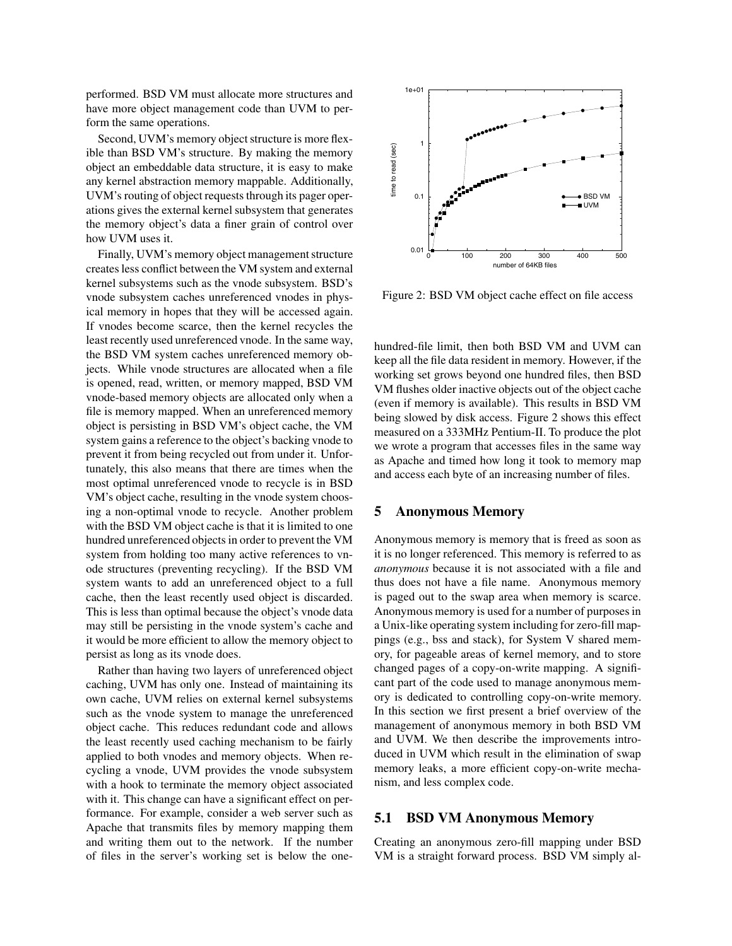performed. BSD VM must allocate more structures and have more object management code than UVM to perform the same operations.

Second, UVM's memory object structure is more flexible than BSD VM's structure. By making the memory object an embeddable data structure, it is easy to make any kernel abstraction memory mappable. Additionally, UVM's routing of object requests through its pager operations gives the external kernel subsystem that generates the memory object's data a finer grain of control over how UVM uses it.

Finally, UVM's memory object management structure creates less conflict between the VM system and external kernel subsystems such as the vnode subsystem. BSD's vnode subsystem caches unreferenced vnodes in physical memory in hopes that they will be accessed again. If vnodes become scarce, then the kernel recycles the least recently used unreferenced vnode. In the same way, the BSD VM system caches unreferenced memory objects. While vnode structures are allocated when a file is opened, read, written, or memory mapped, BSD VM vnode-based memory objects are allocated only when a file is memory mapped. When an unreferenced memory object is persisting in BSD VM's object cache, the VM system gains a reference to the object's backing vnode to prevent it from being recycled out from under it. Unfortunately, this also means that there are times when the most optimal unreferenced vnode to recycle is in BSD VM's object cache, resulting in the vnode system choosing a non-optimal vnode to recycle. Another problem with the BSD VM object cache is that it is limited to one hundred unreferenced objects in order to prevent the VM system from holding too many active references to vnode structures (preventing recycling). If the BSD VM system wants to add an unreferenced object to a full cache, then the least recently used object is discarded. This is less than optimal because the object's vnode data may still be persisting in the vnode system's cache and it would be more efficient to allow the memory object to persist as long as its vnode does.

Rather than having two layers of unreferenced object caching, UVM has only one. Instead of maintaining its own cache, UVM relies on external kernel subsystems such as the vnode system to manage the unreferenced object cache. This reduces redundant code and allows the least recently used caching mechanism to be fairly applied to both vnodes and memory objects. When recycling a vnode, UVM provides the vnode subsystem with a hook to terminate the memory object associated with it. This change can have a significant effect on performance. For example, consider a web server such as Apache that transmits files by memory mapping them and writing them out to the network. If the number of files in the server's working set is below the one-



Figure 2: BSD VM object cache effect on file access

hundred-file limit, then both BSD VM and UVM can keep all the file data resident in memory. However, if the working set grows beyond one hundred files, then BSD VM flushes older inactive objects out of the object cache (even if memory is available). This results in BSD VM being slowed by disk access. Figure 2 shows this effect measured on a 333MHz Pentium-II. To produce the plot we wrote a program that accesses files in the same way as Apache and timed how long it took to memory map and access each byte of an increasing number of files.

## **5 Anonymous Memory**

Anonymous memory is memory that is freed as soon as it is no longer referenced. This memory is referred to as *anonymous* because it is not associated with a file and thus does not have a file name. Anonymous memory is paged out to the swap area when memory is scarce. Anonymous memory is used for a number of purposes in a Unix-like operating system including for zero-fill mappings (e.g., bss and stack), for System V shared memory, for pageable areas of kernel memory, and to store changed pages of a copy-on-write mapping. A significant part of the code used to manage anonymous memory is dedicated to controlling copy-on-write memory. In this section we first present a brief overview of the management of anonymous memory in both BSD VM and UVM. We then describe the improvements introduced in UVM which result in the elimination of swap memory leaks, a more efficient copy-on-write mechanism, and less complex code.

#### **5.1 BSD VM Anonymous Memory**

Creating an anonymous zero-fill mapping under BSD VM is a straight forward process. BSD VM simply al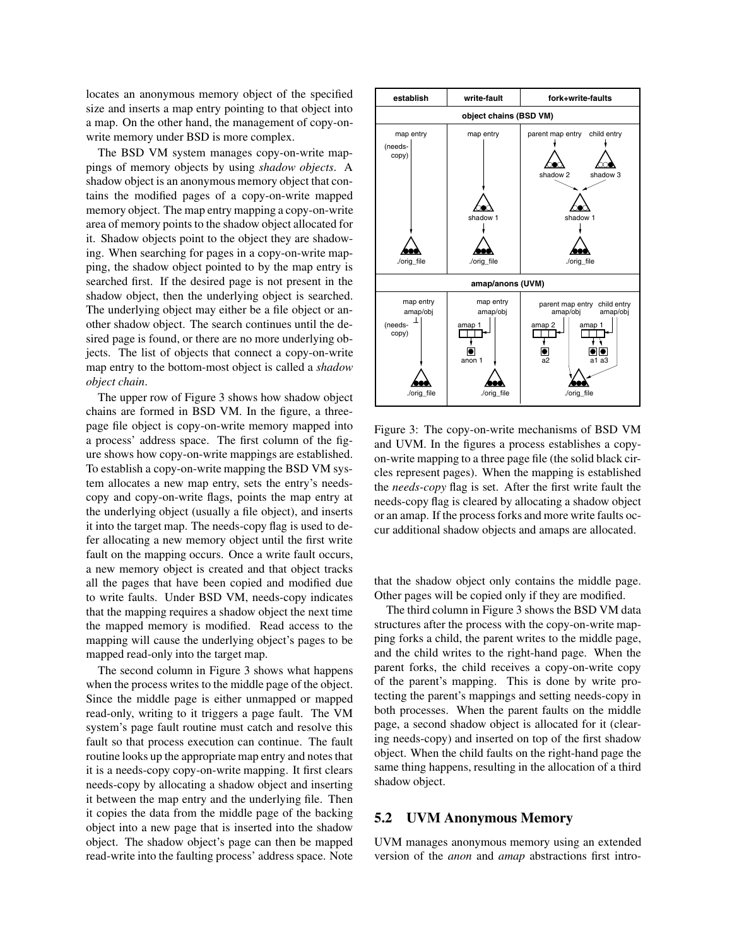locates an anonymous memory object of the specified size and inserts a map entry pointing to that object into a map. On the other hand, the management of copy-onwrite memory under BSD is more complex.

The BSD VM system manages copy-on-write mappings of memory objects by using *shadow objects*. A shadow object is an anonymous memory object that contains the modified pages of a copy-on-write mapped memory object. The map entry mapping a copy-on-write area of memory points to the shadow object allocated for it. Shadow objects point to the object they are shadowing. When searching for pages in a copy-on-write mapping, the shadow object pointed to by the map entry is searched first. If the desired page is not present in the shadow object, then the underlying object is searched. The underlying object may either be a file object or another shadow object. The search continues until the desired page is found, or there are no more underlying objects. The list of objects that connect a copy-on-write map entry to the bottom-most object is called a *shadow object chain*.

The upper row of Figure 3 shows how shadow object chains are formed in BSD VM. In the figure, a threepage file object is copy-on-write memory mapped into a process' address space. The first column of the figure shows how copy-on-write mappings are established. To establish a copy-on-write mapping the BSD VM system allocates a new map entry, sets the entry's needscopy and copy-on-write flags, points the map entry at the underlying object (usually a file object), and inserts it into the target map. The needs-copy flag is used to defer allocating a new memory object until the first write fault on the mapping occurs. Once a write fault occurs, a new memory object is created and that object tracks all the pages that have been copied and modified due to write faults. Under BSD VM, needs-copy indicates that the mapping requires a shadow object the next time the mapped memory is modified. Read access to the mapping will cause the underlying object's pages to be mapped read-only into the target map.

The second column in Figure 3 shows what happens when the process writes to the middle page of the object. Since the middle page is either unmapped or mapped read-only, writing to it triggers a page fault. The VM system's page fault routine must catch and resolve this fault so that process execution can continue. The fault routine looks up the appropriate map entry and notes that it is a needs-copy copy-on-write mapping. It first clears needs-copy by allocating a shadow object and inserting it between the map entry and the underlying file. Then it copies the data from the middle page of the backing object into a new page that is inserted into the shadow object. The shadow object's page can then be mapped read-write into the faulting process' address space. Note



Figure 3: The copy-on-write mechanisms of BSD VM and UVM. In the figures a process establishes a copyon-write mapping to a three page file (the solid black circles represent pages). When the mapping is established the *needs-copy* flag is set. After the first write fault the needs-copy flag is cleared by allocating a shadow object or an amap. If the process forks and more write faults occur additional shadow objects and amaps are allocated.

that the shadow object only contains the middle page. Other pages will be copied only if they are modified.

The third column in Figure 3 shows the BSD VM data structures after the process with the copy-on-write mapping forks a child, the parent writes to the middle page, and the child writes to the right-hand page. When the parent forks, the child receives a copy-on-write copy of the parent's mapping. This is done by write protecting the parent's mappings and setting needs-copy in both processes. When the parent faults on the middle page, a second shadow object is allocated for it (clearing needs-copy) and inserted on top of the first shadow object. When the child faults on the right-hand page the same thing happens, resulting in the allocation of a third shadow object.

#### **5.2 UVM Anonymous Memory**

UVM manages anonymous memory using an extended version of the *anon* and *amap* abstractions first intro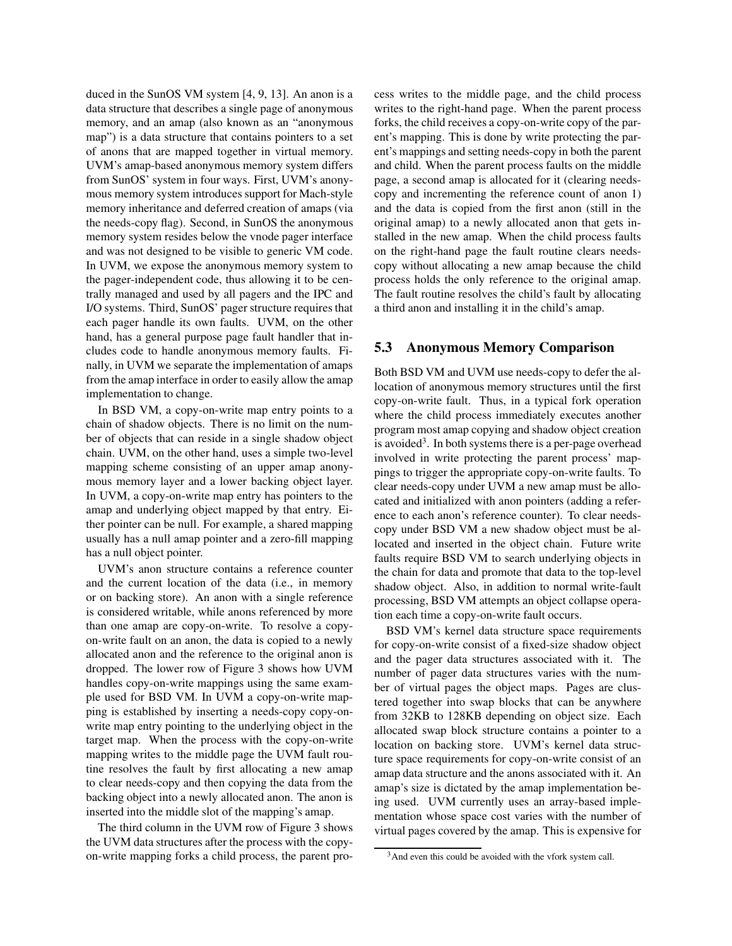duced in the SunOS VM system [4, 9, 13]. An anon is a data structure that describes a single page of anonymous memory, and an amap (also known as an "anonymous map") is a data structure that contains pointers to a set of anons that are mapped together in virtual memory. UVM's amap-based anonymous memory system differs from SunOS' system in four ways. First, UVM's anonymous memory system introduces support for Mach-style memory inheritance and deferred creation of amaps (via the needs-copy flag). Second, in SunOS the anonymous memory system resides below the vnode pager interface and was not designed to be visible to generic VM code. In UVM, we expose the anonymous memory system to the pager-independent code, thus allowing it to be centrally managed and used by all pagers and the IPC and I/O systems. Third, SunOS' pager structure requires that each pager handle its own faults. UVM, on the other hand, has a general purpose page fault handler that includes code to handle anonymous memory faults. Finally, in UVM we separate the implementation of amaps from the amap interface in order to easily allow the amap implementation to change.

In BSD VM, a copy-on-write map entry points to a chain of shadow objects. There is no limit on the number of objects that can reside in a single shadow object chain. UVM, on the other hand, uses a simple two-level mapping scheme consisting of an upper amap anonymous memory layer and a lower backing object layer. In UVM, a copy-on-write map entry has pointers to the amap and underlying object mapped by that entry. Either pointer can be null. For example, a shared mapping usually has a null amap pointer and a zero-fill mapping has a null object pointer.

UVM's anon structure contains a reference counter and the current location of the data (i.e., in memory or on backing store). An anon with a single reference is considered writable, while anons referenced by more than one amap are copy-on-write. To resolve a copyon-write fault on an anon, the data is copied to a newly allocated anon and the reference to the original anon is dropped. The lower row of Figure 3 shows how UVM handles copy-on-write mappings using the same example used for BSD VM. In UVM a copy-on-write mapping is established by inserting a needs-copy copy-onwrite map entry pointing to the underlying object in the target map. When the process with the copy-on-write mapping writes to the middle page the UVM fault routine resolves the fault by first allocating a new amap to clear needs-copy and then copying the data from the backing object into a newly allocated anon. The anon is inserted into the middle slot of the mapping's amap.

The third column in the UVM row of Figure 3 shows the UVM data structures after the process with the copyon-write mapping forks a child process, the parent process writes to the middle page, and the child process writes to the right-hand page. When the parent process forks, the child receives a copy-on-write copy of the parent's mapping. This is done by write protecting the parent's mappings and setting needs-copy in both the parent and child. When the parent process faults on the middle page, a second amap is allocated for it (clearing needscopy and incrementing the reference count of anon 1) and the data is copied from the first anon (still in the original amap) to a newly allocated anon that gets installed in the new amap. When the child process faults on the right-hand page the fault routine clears needscopy without allocating a new amap because the child process holds the only reference to the original amap. The fault routine resolves the child's fault by allocating a third anon and installing it in the child's amap.

## **5.3 Anonymous Memory Comparison**

Both BSD VM and UVM use needs-copy to defer the allocation of anonymous memory structures until the first copy-on-write fault. Thus, in a typical fork operation where the child process immediately executes another program most amap copying and shadow object creation is avoided<sup>3</sup>. In both systems there is a per-page overhead involved in write protecting the parent process' mappings to trigger the appropriate copy-on-write faults. To clear needs-copy under UVM a new amap must be allocated and initialized with anon pointers (adding a reference to each anon's reference counter). To clear needscopy under BSD VM a new shadow object must be allocated and inserted in the object chain. Future write faults require BSD VM to search underlying objects in the chain for data and promote that data to the top-level shadow object. Also, in addition to normal write-fault processing, BSD VM attempts an object collapse operation each time a copy-on-write fault occurs.

BSD VM's kernel data structure space requirements for copy-on-write consist of a fixed-size shadow object and the pager data structures associated with it. The number of pager data structures varies with the number of virtual pages the object maps. Pages are clustered together into swap blocks that can be anywhere from 32KB to 128KB depending on object size. Each allocated swap block structure contains a pointer to a location on backing store. UVM's kernel data structure space requirements for copy-on-write consist of an amap data structure and the anons associated with it. An amap's size is dictated by the amap implementation being used. UVM currently uses an array-based implementation whose space cost varies with the number of virtual pages covered by the amap. This is expensive for

<sup>3</sup>And even this could be avoided with the vfork system call.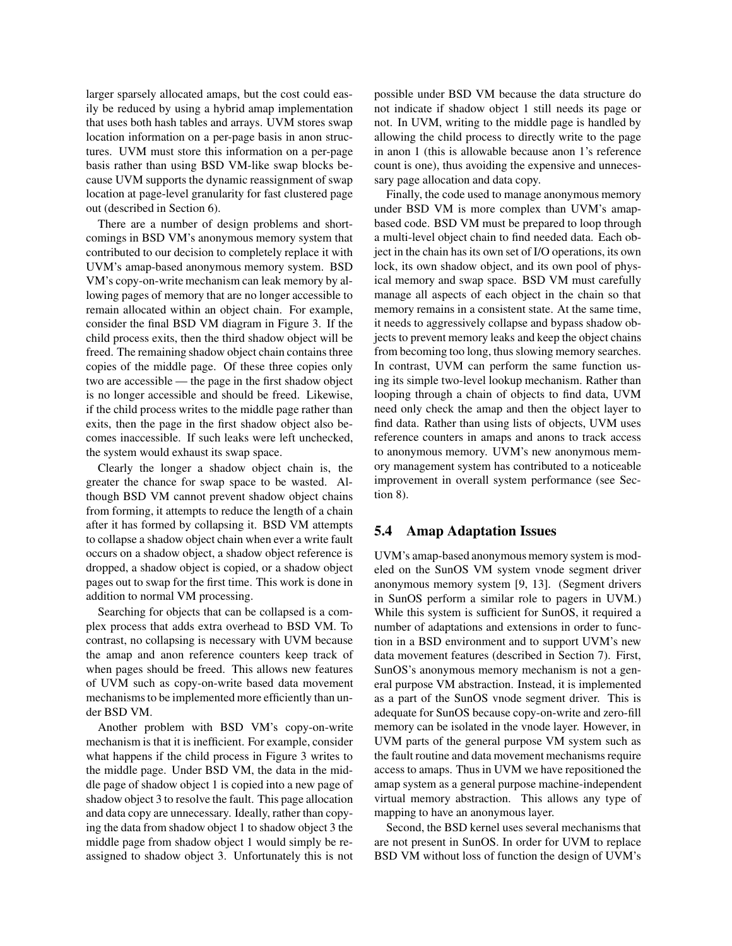larger sparsely allocated amaps, but the cost could easily be reduced by using a hybrid amap implementation that uses both hash tables and arrays. UVM stores swap location information on a per-page basis in anon structures. UVM must store this information on a per-page basis rather than using BSD VM-like swap blocks because UVM supports the dynamic reassignment of swap location at page-level granularity for fast clustered page out (described in Section 6).

There are a number of design problems and shortcomings in BSD VM's anonymous memory system that contributed to our decision to completely replace it with UVM's amap-based anonymous memory system. BSD VM's copy-on-write mechanism can leak memory by allowing pages of memory that are no longer accessible to remain allocated within an object chain. For example, consider the final BSD VM diagram in Figure 3. If the child process exits, then the third shadow object will be freed. The remaining shadow object chain contains three copies of the middle page. Of these three copies only two are accessible — the page in the first shadow object is no longer accessible and should be freed. Likewise, if the child process writes to the middle page rather than exits, then the page in the first shadow object also becomes inaccessible. If such leaks were left unchecked, the system would exhaust its swap space.

Clearly the longer a shadow object chain is, the greater the chance for swap space to be wasted. Although BSD VM cannot prevent shadow object chains from forming, it attempts to reduce the length of a chain after it has formed by collapsing it. BSD VM attempts to collapse a shadow object chain when ever a write fault occurs on a shadow object, a shadow object reference is dropped, a shadow object is copied, or a shadow object pages out to swap for the first time. This work is done in addition to normal VM processing.

Searching for objects that can be collapsed is a complex process that adds extra overhead to BSD VM. To contrast, no collapsing is necessary with UVM because the amap and anon reference counters keep track of when pages should be freed. This allows new features of UVM such as copy-on-write based data movement mechanisms to be implemented more efficiently than under BSD VM.

Another problem with BSD VM's copy-on-write mechanism is that it is inefficient. For example, consider what happens if the child process in Figure 3 writes to the middle page. Under BSD VM, the data in the middle page of shadow object 1 is copied into a new page of shadow object 3 to resolve the fault. This page allocation and data copy are unnecessary. Ideally, rather than copying the data from shadow object 1 to shadow object 3 the middle page from shadow object 1 would simply be reassigned to shadow object 3. Unfortunately this is not possible under BSD VM because the data structure do not indicate if shadow object 1 still needs its page or not. In UVM, writing to the middle page is handled by allowing the child process to directly write to the page in anon 1 (this is allowable because anon 1's reference count is one), thus avoiding the expensive and unnecessary page allocation and data copy.

Finally, the code used to manage anonymous memory under BSD VM is more complex than UVM's amapbased code. BSD VM must be prepared to loop through a multi-level object chain to find needed data. Each object in the chain has its own set of I/O operations, its own lock, its own shadow object, and its own pool of physical memory and swap space. BSD VM must carefully manage all aspects of each object in the chain so that memory remains in a consistent state. At the same time, it needs to aggressively collapse and bypass shadow objects to prevent memory leaks and keep the object chains from becoming too long, thus slowing memory searches. In contrast, UVM can perform the same function using its simple two-level lookup mechanism. Rather than looping through a chain of objects to find data, UVM need only check the amap and then the object layer to find data. Rather than using lists of objects, UVM uses reference counters in amaps and anons to track access to anonymous memory. UVM's new anonymous memory management system has contributed to a noticeable improvement in overall system performance (see Section 8).

## **5.4 Amap Adaptation Issues**

UVM's amap-based anonymous memory system is modeled on the SunOS VM system vnode segment driver anonymous memory system [9, 13]. (Segment drivers in SunOS perform a similar role to pagers in UVM.) While this system is sufficient for SunOS, it required a number of adaptations and extensions in order to function in a BSD environment and to support UVM's new data movement features (described in Section 7). First, SunOS's anonymous memory mechanism is not a general purpose VM abstraction. Instead, it is implemented as a part of the SunOS vnode segment driver. This is adequate for SunOS because copy-on-write and zero-fill memory can be isolated in the vnode layer. However, in UVM parts of the general purpose VM system such as the fault routine and data movement mechanisms require access to amaps. Thus in UVM we have repositioned the amap system as a general purpose machine-independent virtual memory abstraction. This allows any type of mapping to have an anonymous layer.

Second, the BSD kernel uses several mechanisms that are not present in SunOS. In order for UVM to replace BSD VM without loss of function the design of UVM's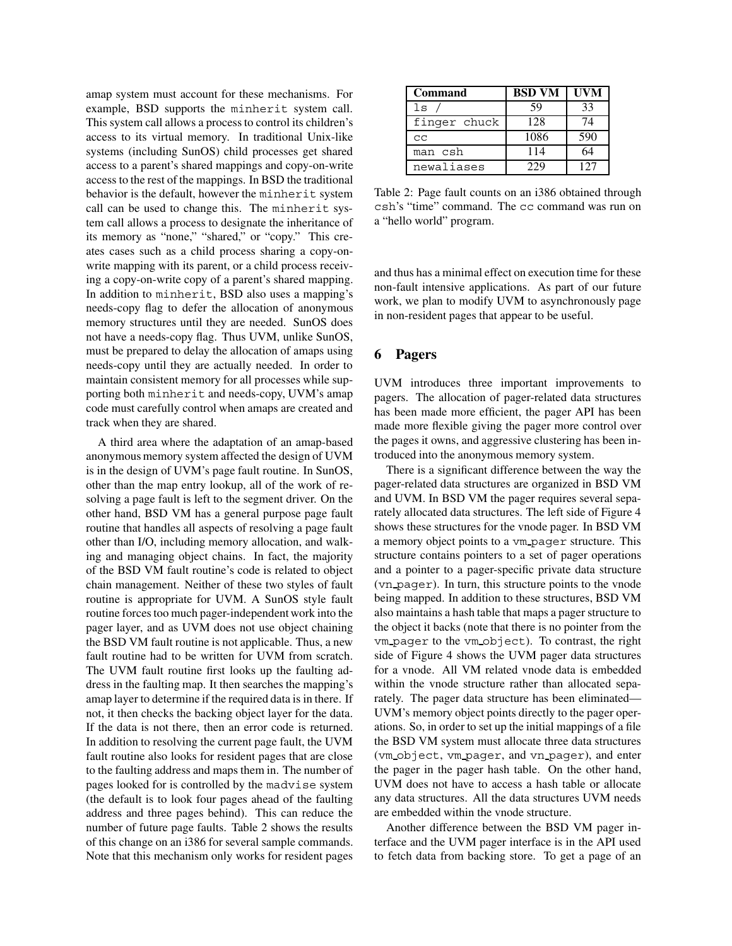amap system must account for these mechanisms. For example, BSD supports the minherit system call. This system call allows a process to control its children's access to its virtual memory. In traditional Unix-like systems (including SunOS) child processes get shared access to a parent's shared mappings and copy-on-write access to the rest of the mappings. In BSD the traditional behavior is the default, however the minherit system call can be used to change this. The minherit system call allows a process to designate the inheritance of its memory as "none," "shared," or "copy." This creates cases such as a child process sharing a copy-onwrite mapping with its parent, or a child process receiving a copy-on-write copy of a parent's shared mapping. In addition to minherit, BSD also uses a mapping's needs-copy flag to defer the allocation of anonymous memory structures until they are needed. SunOS does not have a needs-copy flag. Thus UVM, unlike SunOS, must be prepared to delay the allocation of amaps using needs-copy until they are actually needed. In order to maintain consistent memory for all processes while supporting both minherit and needs-copy, UVM's amap code must carefully control when amaps are created and track when they are shared.

A third area where the adaptation of an amap-based anonymous memory system affected the design of UVM is in the design of UVM's page fault routine. In SunOS, other than the map entry lookup, all of the work of resolving a page fault is left to the segment driver. On the other hand, BSD VM has a general purpose page fault routine that handles all aspects of resolving a page fault other than I/O, including memory allocation, and walking and managing object chains. In fact, the majority of the BSD VM fault routine's code is related to object chain management. Neither of these two styles of fault routine is appropriate for UVM. A SunOS style fault routine forces too much pager-independent work into the pager layer, and as UVM does not use object chaining the BSD VM fault routine is not applicable. Thus, a new fault routine had to be written for UVM from scratch. The UVM fault routine first looks up the faulting address in the faulting map. It then searches the mapping's amap layer to determine if the required data is in there. If not, it then checks the backing object layer for the data. If the data is not there, then an error code is returned. In addition to resolving the current page fault, the UVM fault routine also looks for resident pages that are close to the faulting address and maps them in. The number of pages looked for is controlled by the madvise system (the default is to look four pages ahead of the faulting address and three pages behind). This can reduce the number of future page faults. Table 2 shows the results of this change on an i386 for several sample commands. Note that this mechanism only works for resident pages

| <b>Command</b> | <b>BSD VM</b> | UVM |
|----------------|---------------|-----|
| ls             | 59            | 33  |
| finger chuck   | 128           | 74  |
| CC             | 1086          | 590 |
| man csh        | 114           | 64  |
| newaliases     | 229           | 127 |

Table 2: Page fault counts on an i386 obtained through csh's "time" command. The cc command was run on a "hello world" program.

and thus has a minimal effect on execution time for these non-fault intensive applications. As part of our future work, we plan to modify UVM to asynchronously page in non-resident pages that appear to be useful.

## **6 Pagers**

UVM introduces three important improvements to pagers. The allocation of pager-related data structures has been made more efficient, the pager API has been made more flexible giving the pager more control over the pages it owns, and aggressive clustering has been introduced into the anonymous memory system.

There is a significant difference between the way the pager-related data structures are organized in BSD VM and UVM. In BSD VM the pager requires several separately allocated data structures. The left side of Figure 4 shows these structures for the vnode pager. In BSD VM a memory object points to a vm pager structure. This structure contains pointers to a set of pager operations and a pointer to a pager-specific private data structure (vn pager). In turn, this structure points to the vnode being mapped. In addition to these structures, BSD VM also maintains a hash table that maps a pager structure to the object it backs (note that there is no pointer from the vm pager to the vm object). To contrast, the right side of Figure 4 shows the UVM pager data structures for a vnode. All VM related vnode data is embedded within the vnode structure rather than allocated separately. The pager data structure has been eliminated— UVM's memory object points directly to the pager operations. So, in order to set up the initial mappings of a file the BSD VM system must allocate three data structures (vm object, vm pager, and vn pager), and enter the pager in the pager hash table. On the other hand, UVM does not have to access a hash table or allocate any data structures. All the data structures UVM needs are embedded within the vnode structure.

Another difference between the BSD VM pager interface and the UVM pager interface is in the API used to fetch data from backing store. To get a page of an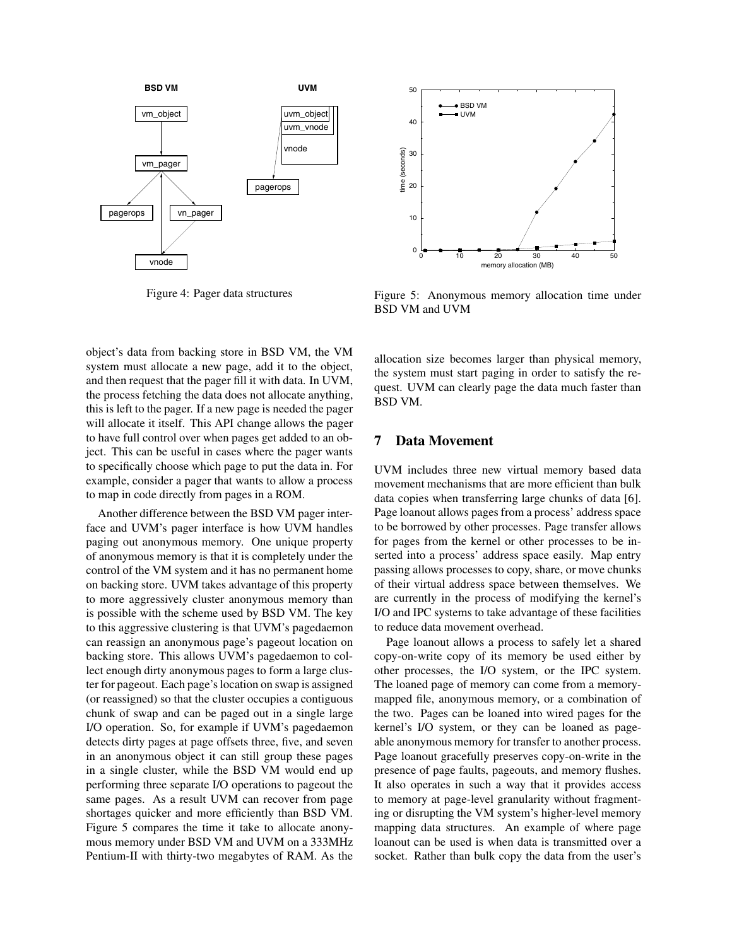

Figure 4: Pager data structures

object's data from backing store in BSD VM, the VM system must allocate a new page, add it to the object, and then request that the pager fill it with data. In UVM, the process fetching the data does not allocate anything, this is left to the pager. If a new page is needed the pager will allocate it itself. This API change allows the pager to have full control over when pages get added to an object. This can be useful in cases where the pager wants to specifically choose which page to put the data in. For example, consider a pager that wants to allow a process to map in code directly from pages in a ROM.

Another difference between the BSD VM pager interface and UVM's pager interface is how UVM handles paging out anonymous memory. One unique property of anonymous memory is that it is completely under the control of the VM system and it has no permanent home on backing store. UVM takes advantage of this property to more aggressively cluster anonymous memory than is possible with the scheme used by BSD VM. The key to this aggressive clustering is that UVM's pagedaemon can reassign an anonymous page's pageout location on backing store. This allows UVM's pagedaemon to collect enough dirty anonymous pages to form a large cluster for pageout. Each page's location on swap is assigned (or reassigned) so that the cluster occupies a contiguous chunk of swap and can be paged out in a single large I/O operation. So, for example if UVM's pagedaemon detects dirty pages at page offsets three, five, and seven in an anonymous object it can still group these pages in a single cluster, while the BSD VM would end up performing three separate I/O operations to pageout the same pages. As a result UVM can recover from page shortages quicker and more efficiently than BSD VM. Figure 5 compares the time it take to allocate anonymous memory under BSD VM and UVM on a 333MHz Pentium-II with thirty-two megabytes of RAM. As the



Figure 5: Anonymous memory allocation time under BSD VM and UVM

allocation size becomes larger than physical memory, the system must start paging in order to satisfy the request. UVM can clearly page the data much faster than BSD VM.

#### **7 Data Movement**

UVM includes three new virtual memory based data movement mechanisms that are more efficient than bulk data copies when transferring large chunks of data [6]. Page loanout allows pages from a process' address space to be borrowed by other processes. Page transfer allows for pages from the kernel or other processes to be inserted into a process' address space easily. Map entry passing allows processes to copy, share, or move chunks of their virtual address space between themselves. We are currently in the process of modifying the kernel's I/O and IPC systems to take advantage of these facilities to reduce data movement overhead.

Page loanout allows a process to safely let a shared copy-on-write copy of its memory be used either by other processes, the I/O system, or the IPC system. The loaned page of memory can come from a memorymapped file, anonymous memory, or a combination of the two. Pages can be loaned into wired pages for the kernel's I/O system, or they can be loaned as pageable anonymous memory for transfer to another process. Page loanout gracefully preserves copy-on-write in the presence of page faults, pageouts, and memory flushes. It also operates in such a way that it provides access to memory at page-level granularity without fragmenting or disrupting the VM system's higher-level memory mapping data structures. An example of where page loanout can be used is when data is transmitted over a socket. Rather than bulk copy the data from the user's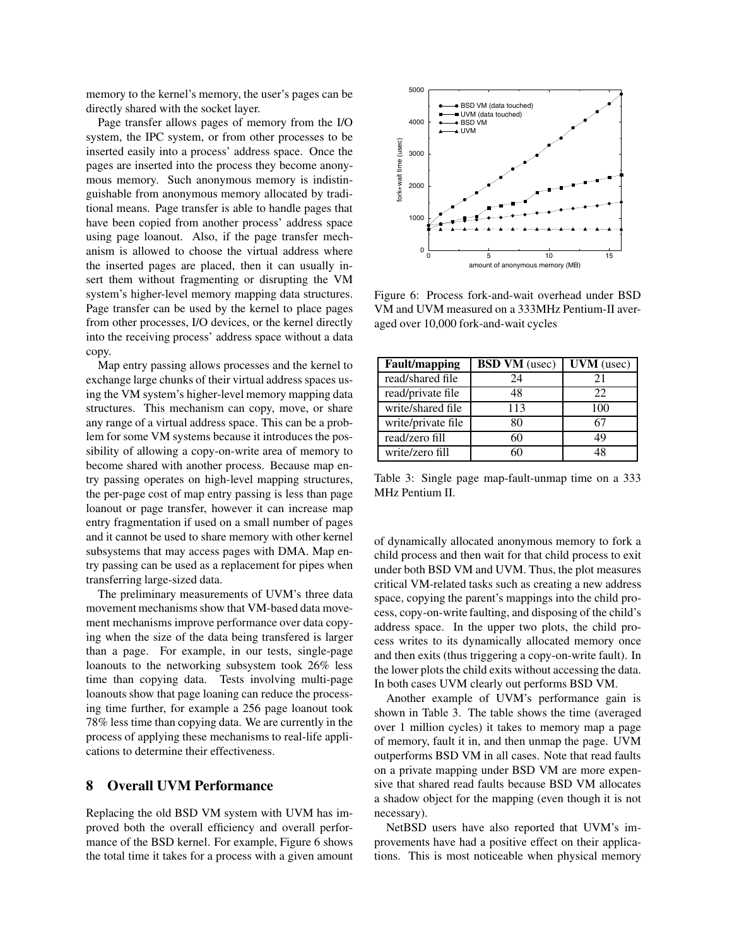memory to the kernel's memory, the user's pages can be directly shared with the socket layer.

Page transfer allows pages of memory from the I/O system, the IPC system, or from other processes to be inserted easily into a process' address space. Once the pages are inserted into the process they become anonymous memory. Such anonymous memory is indistinguishable from anonymous memory allocated by traditional means. Page transfer is able to handle pages that have been copied from another process' address space using page loanout. Also, if the page transfer mechanism is allowed to choose the virtual address where the inserted pages are placed, then it can usually insert them without fragmenting or disrupting the VM system's higher-level memory mapping data structures. Page transfer can be used by the kernel to place pages from other processes, I/O devices, or the kernel directly into the receiving process' address space without a data copy.

Map entry passing allows processes and the kernel to exchange large chunks of their virtual address spaces using the VM system's higher-level memory mapping data structures. This mechanism can copy, move, or share any range of a virtual address space. This can be a problem for some VM systems because it introduces the possibility of allowing a copy-on-write area of memory to become shared with another process. Because map entry passing operates on high-level mapping structures, the per-page cost of map entry passing is less than page loanout or page transfer, however it can increase map entry fragmentation if used on a small number of pages and it cannot be used to share memory with other kernel subsystems that may access pages with DMA. Map entry passing can be used as a replacement for pipes when transferring large-sized data.

The preliminary measurements of UVM's three data movement mechanisms show that VM-based data movement mechanisms improve performance over data copying when the size of the data being transfered is larger than a page. For example, in our tests, single-page loanouts to the networking subsystem took 26% less time than copying data. Tests involving multi-page loanouts show that page loaning can reduce the processing time further, for example a 256 page loanout took 78% less time than copying data. We are currently in the process of applying these mechanisms to real-life applications to determine their effectiveness.

#### **8 Overall UVM Performance**

Replacing the old BSD VM system with UVM has improved both the overall efficiency and overall performance of the BSD kernel. For example, Figure 6 shows the total time it takes for a process with a given amount



Figure 6: Process fork-and-wait overhead under BSD VM and UVM measured on a 333MHz Pentium-II averaged over 10,000 fork-and-wait cycles

| <b>Fault/mapping</b> | <b>BSD VM</b> (usec) | <b>UVM</b> (usec) |
|----------------------|----------------------|-------------------|
| read/shared file     | 24                   | 21                |
| read/private file    | 48                   | 22                |
| write/shared file    | 113                  | 100               |
| write/private file   | 80                   | 67                |
| read/zero fill       | 60                   | 49                |
| write/zero fill      | 6በ                   |                   |

Table 3: Single page map-fault-unmap time on a 333 MHz Pentium II.

of dynamically allocated anonymous memory to fork a child process and then wait for that child process to exit under both BSD VM and UVM. Thus, the plot measures critical VM-related tasks such as creating a new address space, copying the parent's mappings into the child process, copy-on-write faulting, and disposing of the child's address space. In the upper two plots, the child process writes to its dynamically allocated memory once and then exits (thus triggering a copy-on-write fault). In the lower plots the child exits without accessing the data. In both cases UVM clearly out performs BSD VM.

Another example of UVM's performance gain is shown in Table 3. The table shows the time (averaged over 1 million cycles) it takes to memory map a page of memory, fault it in, and then unmap the page. UVM outperforms BSD VM in all cases. Note that read faults on a private mapping under BSD VM are more expensive that shared read faults because BSD VM allocates a shadow object for the mapping (even though it is not necessary).

NetBSD users have also reported that UVM's improvements have had a positive effect on their applications. This is most noticeable when physical memory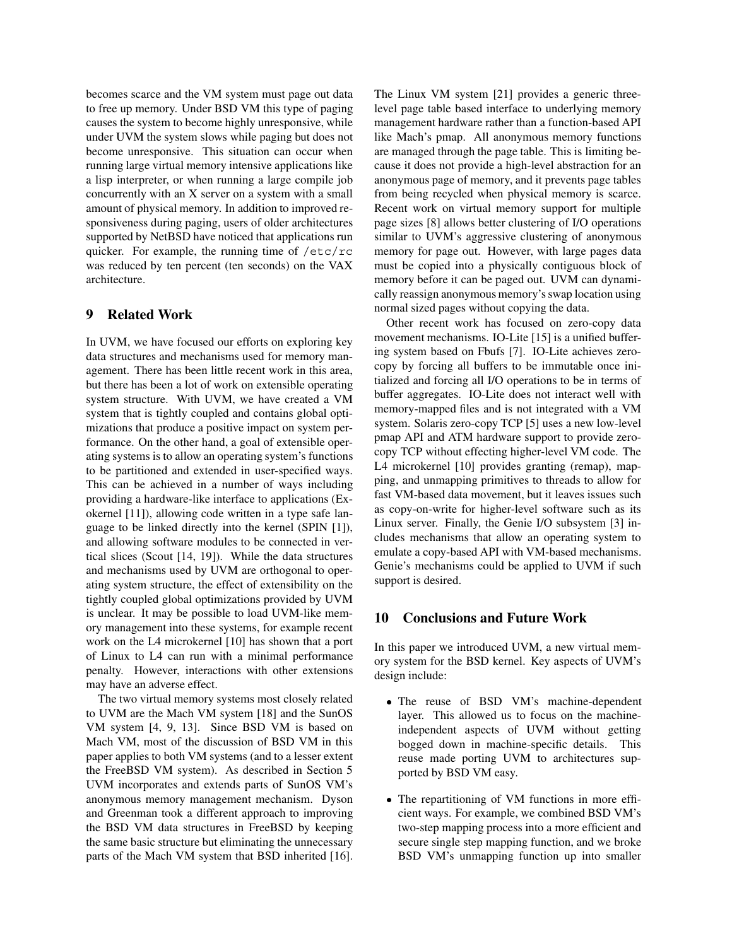becomes scarce and the VM system must page out data to free up memory. Under BSD VM this type of paging causes the system to become highly unresponsive, while under UVM the system slows while paging but does not become unresponsive. This situation can occur when running large virtual memory intensive applications like a lisp interpreter, or when running a large compile job concurrently with an X server on a system with a small amount of physical memory. In addition to improved responsiveness during paging, users of older architectures supported by NetBSD have noticed that applications run quicker. For example, the running time of  $/etc/rc$ was reduced by ten percent (ten seconds) on the VAX architecture.

## **9 Related Work**

In UVM, we have focused our efforts on exploring key data structures and mechanisms used for memory management. There has been little recent work in this area, but there has been a lot of work on extensible operating system structure. With UVM, we have created a VM system that is tightly coupled and contains global optimizations that produce a positive impact on system performance. On the other hand, a goal of extensible operating systems is to allow an operating system's functions to be partitioned and extended in user-specified ways. This can be achieved in a number of ways including providing a hardware-like interface to applications (Exokernel [11]), allowing code written in a type safe language to be linked directly into the kernel (SPIN [1]), and allowing software modules to be connected in vertical slices (Scout [14, 19]). While the data structures and mechanisms used by UVM are orthogonal to operating system structure, the effect of extensibility on the tightly coupled global optimizations provided by UVM is unclear. It may be possible to load UVM-like memory management into these systems, for example recent work on the L4 microkernel [10] has shown that a port of Linux to L4 can run with a minimal performance penalty. However, interactions with other extensions may have an adverse effect.

The two virtual memory systems most closely related to UVM are the Mach VM system [18] and the SunOS VM system [4, 9, 13]. Since BSD VM is based on Mach VM, most of the discussion of BSD VM in this paper applies to both VM systems (and to a lesser extent the FreeBSD VM system). As described in Section 5 UVM incorporates and extends parts of SunOS VM's anonymous memory management mechanism. Dyson and Greenman took a different approach to improving the BSD VM data structures in FreeBSD by keeping the same basic structure but eliminating the unnecessary parts of the Mach VM system that BSD inherited [16]. The Linux VM system [21] provides a generic threelevel page table based interface to underlying memory management hardware rather than a function-based API like Mach's pmap. All anonymous memory functions are managed through the page table. This is limiting because it does not provide a high-level abstraction for an anonymous page of memory, and it prevents page tables from being recycled when physical memory is scarce. Recent work on virtual memory support for multiple page sizes [8] allows better clustering of I/O operations similar to UVM's aggressive clustering of anonymous memory for page out. However, with large pages data must be copied into a physically contiguous block of memory before it can be paged out. UVM can dynamically reassign anonymous memory's swap location using normal sized pages without copying the data.

Other recent work has focused on zero-copy data movement mechanisms. IO-Lite [15] is a unified buffering system based on Fbufs [7]. IO-Lite achieves zerocopy by forcing all buffers to be immutable once initialized and forcing all I/O operations to be in terms of buffer aggregates. IO-Lite does not interact well with memory-mapped files and is not integrated with a VM system. Solaris zero-copy TCP [5] uses a new low-level pmap API and ATM hardware support to provide zerocopy TCP without effecting higher-level VM code. The L4 microkernel [10] provides granting (remap), mapping, and unmapping primitives to threads to allow for fast VM-based data movement, but it leaves issues such as copy-on-write for higher-level software such as its Linux server. Finally, the Genie I/O subsystem [3] includes mechanisms that allow an operating system to emulate a copy-based API with VM-based mechanisms. Genie's mechanisms could be applied to UVM if such support is desired.

#### **10 Conclusions and Future Work**

In this paper we introduced UVM, a new virtual memory system for the BSD kernel. Key aspects of UVM's design include:

- The reuse of BSD VM's machine-dependent layer. This allowed us to focus on the machineindependent aspects of UVM without getting bogged down in machine-specific details. This reuse made porting UVM to architectures supported by BSD VM easy.
- The repartitioning of VM functions in more efficient ways. For example, we combined BSD VM's two-step mapping process into a more efficient and secure single step mapping function, and we broke BSD VM's unmapping function up into smaller